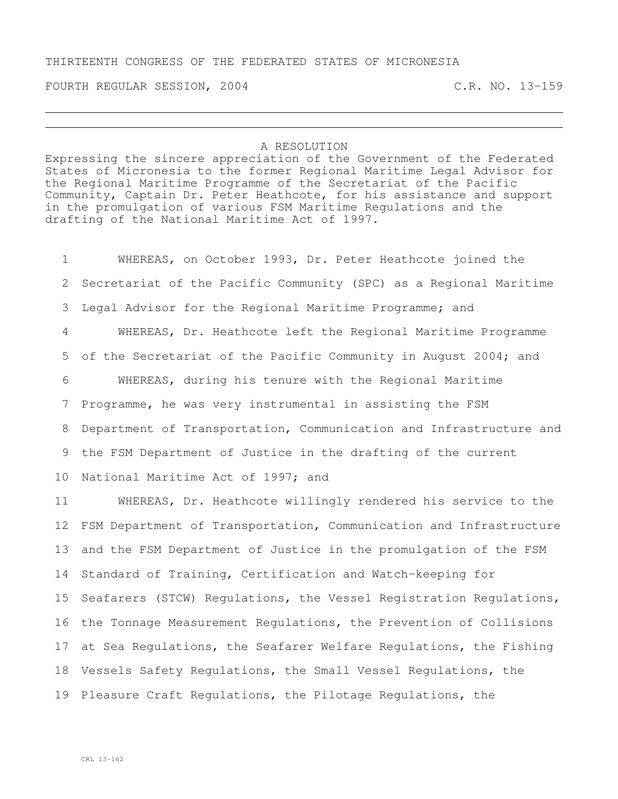## THIRTEENTH CONGRESS OF THE FEDERATED STATES OF MICRONESIA

FOURTH REGULAR SESSION, 2004 C.R. NO. 13-159

## A RESOLUTION

Expressing the sincere appreciation of the Government of the Federated States of Micronesia to the former Regional Maritime Legal Advisor for the Regional Maritime Programme of the Secretariat of the Pacific Community, Captain Dr. Peter Heathcote, for his assistance and support in the promulgation of various FSM Maritime Regulations and the drafting of the National Maritime Act of 1997.

 WHEREAS, on October 1993, Dr. Peter Heathcote joined the Secretariat of the Pacific Community (SPC) as a Regional Maritime Legal Advisor for the Regional Maritime Programme; and WHEREAS, Dr. Heathcote left the Regional Maritime Programme of the Secretariat of the Pacific Community in August 2004; and WHEREAS, during his tenure with the Regional Maritime Programme, he was very instrumental in assisting the FSM Department of Transportation, Communication and Infrastructure and the FSM Department of Justice in the drafting of the current National Maritime Act of 1997; and WHEREAS, Dr. Heathcote willingly rendered his service to the FSM Department of Transportation, Communication and Infrastructure and the FSM Department of Justice in the promulgation of the FSM Standard of Training, Certification and Watch-keeping for Seafarers (STCW) Regulations, the Vessel Registration Regulations, the Tonnage Measurement Regulations, the Prevention of Collisions at Sea Regulations, the Seafarer Welfare Regulations, the Fishing Vessels Safety Regulations, the Small Vessel Regulations, the Pleasure Craft Regulations, the Pilotage Regulations, the